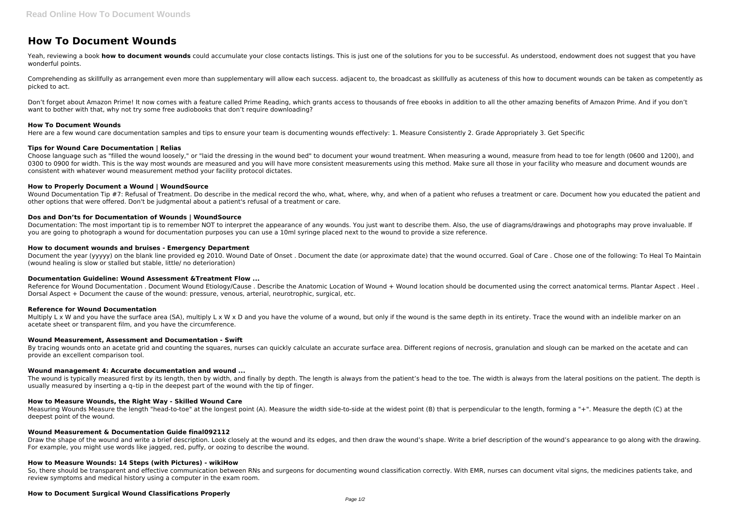# **How To Document Wounds**

Yeah, reviewing a book how to document wounds could accumulate your close contacts listings. This is just one of the solutions for you to be successful. As understood, endowment does not suggest that you have wonderful points.

Comprehending as skillfully as arrangement even more than supplementary will allow each success. adjacent to, the broadcast as skillfully as acuteness of this how to document wounds can be taken as competently as picked to act.

Don't forget about Amazon Prime! It now comes with a feature called Prime Reading, which grants access to thousands of free ebooks in addition to all the other amazing benefits of Amazon Prime. And if you don't want to bother with that, why not try some free audiobooks that don't require downloading?

## **How To Document Wounds**

Here are a few wound care documentation samples and tips to ensure your team is documenting wounds effectively: 1. Measure Consistently 2. Grade Appropriately 3. Get Specific

Wound Documentation Tip #7: Refusal of Treatment. Do describe in the medical record the who, what, where, why, and when of a patient who refuses a treatment or care. Document how you educated the patient and other options that were offered. Don't be judgmental about a patient's refusal of a treatment or care.

# **Tips for Wound Care Documentation | Relias**

Documentation: The most important tip is to remember NOT to interpret the appearance of any wounds. You just want to describe them. Also, the use of diagrams/drawings and photographs may prove invaluable. If you are going to photograph a wound for documentation purposes you can use a 10ml syringe placed next to the wound to provide a size reference.

Choose language such as "filled the wound loosely," or "laid the dressing in the wound bed" to document your wound treatment. When measuring a wound, measure from head to toe for length (0600 and 1200), and 0300 to 0900 for width. This is the way most wounds are measured and you will have more consistent measurements using this method. Make sure all those in your facility who measure and document wounds are consistent with whatever wound measurement method your facility protocol dictates.

Reference for Wound Documentation . Document Wound Etiology/Cause . Describe the Anatomic Location of Wound + Wound location should be documented using the correct anatomical terms. Plantar Aspect . Heel . Dorsal Aspect + Document the cause of the wound: pressure, venous, arterial, neurotrophic, surgical, etc.

# **How to Properly Document a Wound | WoundSource**

Multiply L x W and you have the surface area (SA), multiply L x W x D and you have the volume of a wound, but only if the wound is the same depth in its entirety. Trace the wound with an indelible marker on an acetate sheet or transparent film, and you have the circumference.

By tracing wounds onto an acetate grid and counting the squares, nurses can quickly calculate an accurate surface area. Different regions of necrosis, granulation and slough can be marked on the acetate and can provide an excellent comparison tool.

# **Dos and Don'ts for Documentation of Wounds | WoundSource**

The wound is typically measured first by its length, then by width, and finally by depth. The length is always from the toe and to the toe. The width is always from the lateral positions on the patient. The depth is usually measured by inserting a q–tip in the deepest part of the wound with the tip of finger.

Measuring Wounds Measure the length "head-to-toe" at the longest point (A). Measure the width side-to-side at the widest point (B) that is perpendicular to the length, forming a "+". Measure the depth (C) at the deepest point of the wound.

Draw the shape of the wound and write a brief description. Look closely at the wound and its edges, and then draw the wound's shape. Write a brief description of the wound's appearance to go along with the drawing. For example, you might use words like jagged, red, puffy, or oozing to describe the wound.

# **How to document wounds and bruises - Emergency Department**

So, there should be transparent and effective communication between RNs and surgeons for documenting wound classification correctly. With EMR, nurses can document vital signs, the medicines patients take, and review symptoms and medical history using a computer in the exam room.

Document the year (yyyyy) on the blank line provided eg 2010. Wound Date of Onset . Document the date (or approximate date) that the wound occurred. Goal of Care . Chose one of the following: To Heal To Maintain (wound healing is slow or stalled but stable, little/ no deterioration)

## **Documentation Guideline: Wound Assessment &Treatment Flow ...**

## **Reference for Wound Documentation**

## **Wound Measurement, Assessment and Documentation - Swift**

## **Wound management 4: Accurate documentation and wound ...**

## **How to Measure Wounds, the Right Way - Skilled Wound Care**

## **Wound Measurement & Documentation Guide final092112**

## **How to Measure Wounds: 14 Steps (with Pictures) - wikiHow**

## **How to Document Surgical Wound Classifications Properly**